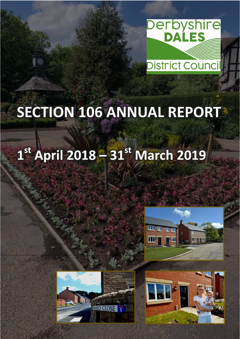

# **SECTION 106 ANNUAL REPORT**

# $1^{st}$  April 2018 - 31st March 2019





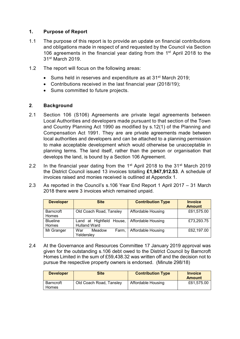## **1. Purpose of Report**

- 1.1 The purpose of this report is to provide an update on financial contributions and obligations made in respect of and requested by the Council via Section 106 agreements in the financial year dating from the 1<sup>st</sup> April 2018 to the 31st March 2019.
- 1.2 The report will focus on the following areas:
	- Sums held in reserves and expenditure as at 31<sup>st</sup> March 2019;
	- Contributions received in the last financial year (2018/19);
	- Sums committed to future projects.

# **2***.* **Background**

- 2.1 Section 106 (S106) Agreements are private legal agreements between Local Authorities and developers made pursuant to that section of the Town and Country Planning Act 1990 as modified by s.12(1) of the Planning and Compensation Act 1991. They are are private agreements made between local authorities and developers and can be attached to a planning permission to make acceptable development which would otherwise be unacceptable in planning terms. The land itself, rather than the person or organisation that develops the land, is bound by a Section 106 Agreement.
- 2.2 In the financial year dating from the 1<sup>st</sup> April 2018 to the 31<sup>st</sup> March 2019 the District Council issued 13 invoices totalling **£1,947,912.53**. A schedule of invoices raised and monies received is outlined at Appendix 1.
- 2.3 As reported in the Council's s.106 Year End Report 1 April 2017 31 March 2018 there were 3 invoices which remained unpaid.

| <b>Developer</b> | <b>Site</b>              | <b>Contribution Type</b> | <b>Invoice</b><br><b>Amount</b> |
|------------------|--------------------------|--------------------------|---------------------------------|
| Barncroft        | Old Coach Road, Tansley  | Affordable Housing       | £61,575.00                      |
| Homes            |                          |                          |                                 |
| <b>Blueline</b>  | Land at Highfield House, | Affordable Housing       | £73,293.75                      |
| Homes            | <b>Hulland Ward</b>      |                          |                                 |
| Mr Granger       | War<br>Meadow<br>Farm.   | Affordable Housing       | £62,197.00                      |
|                  | Yeldersley               |                          |                                 |

2.4 At the Governance and Resources Committee 17 January 2019 approval was given for the outstanding s.106 debt owed to the District Council by Barncroft Homes Limited in the sum of £59,438.32 was written off and the decision not to pursue the respective property owners is endorsed. (Minute 298/18)

| <b>Developer</b>          | Site                    | <b>Contribution Type</b> | <b>Invoice</b><br><b>Amount</b> |
|---------------------------|-------------------------|--------------------------|---------------------------------|
| Barncroft<br><b>Homes</b> | Old Coach Road, Tansley | Affordable Housing       | £61.575.00                      |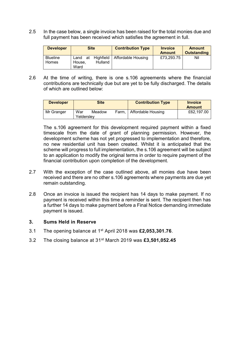2.5 In the case below, a single invoice has been raised for the total monies due and full payment has been received which satisfies the agreement in full.

| <b>Developer</b> |            | <b>Site</b>    | <b>Contribution Type</b> | <b>Invoice</b><br><b>Amount</b> | <b>Amount</b><br>Outstanding |
|------------------|------------|----------------|--------------------------|---------------------------------|------------------------------|
| <b>Blueline</b>  | at<br>Land | Highfield      | Affordable Housing       | £73,293.75                      | Nil                          |
| <b>Homes</b>     | House.     | <b>Hulland</b> |                          |                                 |                              |
|                  | Ward       |                |                          |                                 |                              |

2.6 At the time of writing, there is one s.106 agreements where the financial contributions are technically due but are yet to be fully discharged. The details of which are outlined below:

| <b>Developer</b> |                   | Site   |       | <b>Contribution Type</b>  | <b>Invoice</b><br><b>Amount</b> |
|------------------|-------------------|--------|-------|---------------------------|---------------------------------|
| Mr Granger       | War<br>Yelderslev | Meadow | Farm. | <b>Affordable Housing</b> | £62,197.00                      |

The s.106 agreement for this development required payment within a fixed timescale from the date of grant of planning permission. However, the development scheme has not yet progressed to implementation and therefore, no new residential unit has been created. Whilst it is anticipated that the scheme will progress to full implementation, the s.106 agreement will be subject to an application to modify the original terms in order to require payment of the financial contribution upon completion of the development.

- 2.7 With the exception of the case outlined above, all monies due have been received and there are no other s.106 agreements where payments are due yet remain outstanding.
- 2.8 Once an invoice is issued the recipient has 14 days to make payment. If no payment is received within this time a reminder is sent. The recipient then has a further 14 days to make payment before a Final Notice demanding immediate payment is issued.

#### **3. Sums Held in Reserve**

- 3.1 The opening balance at 1 st April 2018 was **£2,053,301.76**.
- 3.2 The closing balance at 31st March 2019 was **£3,501,052.45**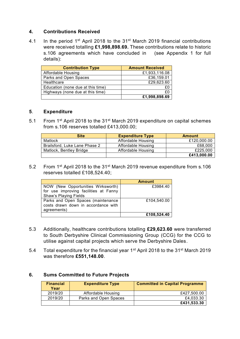### **4. Contributions Received**

4.1 In the period 1<sup>st</sup> April 2018 to the 31<sup>st</sup> March 2019 financial contributions were received totalling **£1,998,898.69.** These contributions relate to historic s.106 agreements which have concluded in (see Appendix 1 for full details):

| <b>Contribution Type</b>          | <b>Amount Received</b> |
|-----------------------------------|------------------------|
| <b>Affordable Housing</b>         | £1,933,116.08          |
| Parks and Open Spaces             | £36,159.01             |
| Healthcare                        | £29,623.60             |
| Education (none due at this time) | £C                     |
| Highways (none due at this time)  | £0                     |
|                                   | £1,998,898.69          |

#### **5**. **Expenditure**

5.1 From 1<sup>st</sup> April 2018 to the 31<sup>st</sup> March 2019 expenditure on capital schemes from s.106 reserves totalled £413,000.00;

| <b>Site</b>                   | <b>Expenditure Type</b> | Amount      |
|-------------------------------|-------------------------|-------------|
| Matlock                       | Affordable Housing      | £120,000.00 |
| Brailsford, Luke Lane Phase 2 | Affordable Housing      | £68,000     |
| Matlock, Bentley Bridge       | Affordable Housing      | £225,000    |
|                               |                         | £413,000.00 |

5.2 From 1st April 2018 to the 31st March 2019 revenue expenditure from s.106 reserves totalled £108,524.40;

|                                       | <b>Amount</b> |
|---------------------------------------|---------------|
| NOW (New Opportunities Wirksworth)    | £3984.40      |
| for use improving facilities at Fanny |               |
| Shaw's Playing Fields                 |               |
| Parks and Open Spaces (maintenance    | £104,540.00   |
| costs drawn down in accordance with   |               |
| agreements)                           |               |
|                                       | £108,524.40   |

- 5.3 Additionally, healthcare contributions totalling **£29,623.60** were transferred to South Derbyshire Clinical Commissioning Group (CCG) for the CCG to utilise against capital projects which serve the Derbyshire Dales.
- 5.4 Total expenditure for the financial year 1st April 2018 to the 31st March 2019 was therefore **£551,148.00**.

#### **6. Sums Committed to Future Projects**

| <b>Financial</b><br>Year | <b>Expenditure Type</b> | <b>Committed in Capital Programme</b> |
|--------------------------|-------------------------|---------------------------------------|
| 2019/20                  | Affordable Housing      | £427,500.00                           |
| 2019/20                  | Parks and Open Spaces   | £4,033.30                             |
|                          |                         | £431,533.30                           |